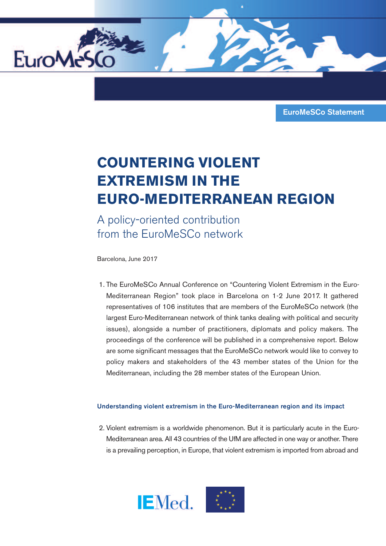

## **COUNTERING VIOLENT EXTREMISM IN THE EURO-MEDITERRANEAN REGION**

A policy-oriented contribution from the EuroMeSCo network

Barcelona, June 2017

EuroMe

1. The EuroMeSCo Annual Conference on "Countering Violent Extremism in the Euro-Mediterranean Region" took place in Barcelona on 1-2 June 2017. It gathered representatives of 106 institutes that are members of the EuroMeSCo network (the largest Euro-Mediterranean network of think tanks dealing with political and security issues), alongside a number of practitioners, diplomats and policy makers. The proceedings of the conference will be published in a comprehensive report. Below are some significant messages that the EuroMeSCo network would like to convey to policy makers and stakeholders of the 43 member states of the Union for the Mediterranean, including the 28 member states of the European Union.

## **Understanding violent extremism in the Euro-Mediterranean region and its impact**

2. Violent extremism is a worldwide phenomenon. But it is particularly acute in the Euro-Mediterranean area. All 43 countries of the UfM are affected in one way or another. There is a prevailing perception, in Europe, that violent extremism is imported from abroad and



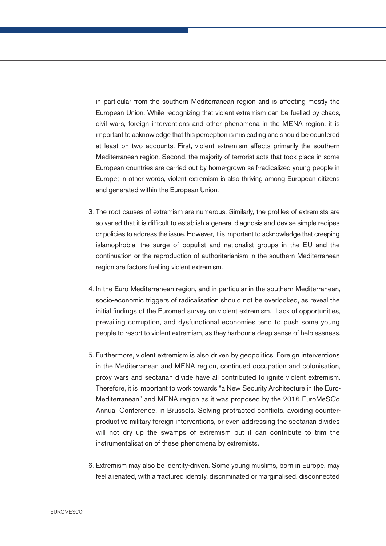in particular from the southern Mediterranean region and is affecting mostly the European Union. While recognizing that violent extremism can be fuelled by chaos, civil wars, foreign interventions and other phenomena in the MENA region, it is important to acknowledge that this perception is misleading and should be countered at least on two accounts. First, violent extremism affects primarily the southern Mediterranean region. Second, the majority of terrorist acts that took place in some European countries are carried out by home-grown self-radicalized young people in Europe; In other words, violent extremism is also thriving among European citizens and generated within the European Union.

- 3. The root causes of extremism are numerous. Similarly, the profiles of extremists are so varied that it is difficult to establish a general diagnosis and devise simple recipes or policies to address the issue. However, it is important to acknowledge that creeping islamophobia, the surge of populist and nationalist groups in the EU and the continuation or the reproduction of authoritarianism in the southern Mediterranean region are factors fuelling violent extremism.
- 4. In the Euro-Mediterranean region, and in particular in the southern Mediterranean, socio-economic triggers of radicalisation should not be overlooked, as reveal the initial findings of the Euromed survey on violent extremism. Lack of opportunities, prevailing corruption, and dysfunctional economies tend to push some young people to resort to violent extremism, as they harbour a deep sense of helplessness.
- 5. Furthermore, violent extremism is also driven by geopolitics. Foreign interventions in the Mediterranean and MENA region, continued occupation and colonisation, proxy wars and sectarian divide have all contributed to ignite violent extremism. Therefore, it is important to work towards "a New Security Architecture in the Euro-Mediterranean" and MENA region as it was proposed by the 2016 EuroMeSCo Annual Conference, in Brussels. Solving protracted conflicts, avoiding counterproductive military foreign interventions, or even addressing the sectarian divides will not dry up the swamps of extremism but it can contribute to trim the instrumentalisation of these phenomena by extremists.
- 6. Extremism may also be identity-driven. Some young muslims, born in Europe, may feel alienated, with a fractured identity, discriminated or marginalised, disconnected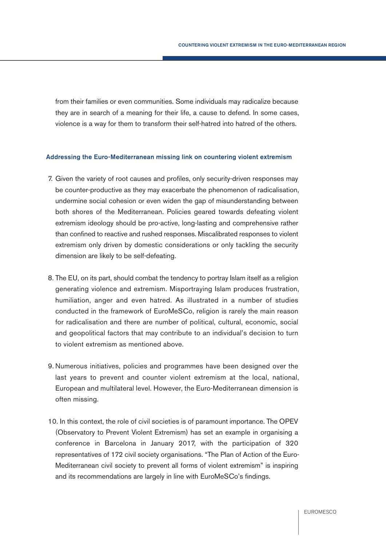from their families or even communities. Some individuals may radicalize because they are in search of a meaning for their life, a cause to defend. In some cases, violence is a way for them to transform their self-hatred into hatred of the others.

## **Addressing the Euro-Mediterranean missing link on countering violent extremism**

- 7. Given the variety of root causes and profiles, only security-driven responses may be counter-productive as they may exacerbate the phenomenon of radicalisation, undermine social cohesion or even widen the gap of misunderstanding between both shores of the Mediterranean. Policies geared towards defeating violent extremism ideology should be pro-active, long-lasting and comprehensive rather than confined to reactive and rushed responses. Miscalibrated responses to violent extremism only driven by domestic considerations or only tackling the security dimension are likely to be self-defeating.
- 8. The EU, on its part, should combat the tendency to portray Islam itself as a religion generating violence and extremism. Misportraying Islam produces frustration, humiliation, anger and even hatred. As illustrated in a number of studies conducted in the framework of EuroMeSCo, religion is rarely the main reason for radicalisation and there are number of political, cultural, economic, social and geopolitical factors that may contribute to an individual's decision to turn to violent extremism as mentioned above.
- 9. Numerous initiatives, policies and programmes have been designed over the last years to prevent and counter violent extremism at the local, national, European and multilateral level. However, the Euro-Mediterranean dimension is often missing.
- 10. In this context, the role of civil societies is of paramount importance. The OPEV (Observatory to Prevent Violent Extremism) has set an example in organising a conference in Barcelona in January 2017, with the participation of 320 representatives of 172 civil society organisations. "The Plan of Action of the Euro-Mediterranean civil society to prevent all forms of violent extremism" is inspiring and its recommendations are largely in line with EuroMeSCo's findings.